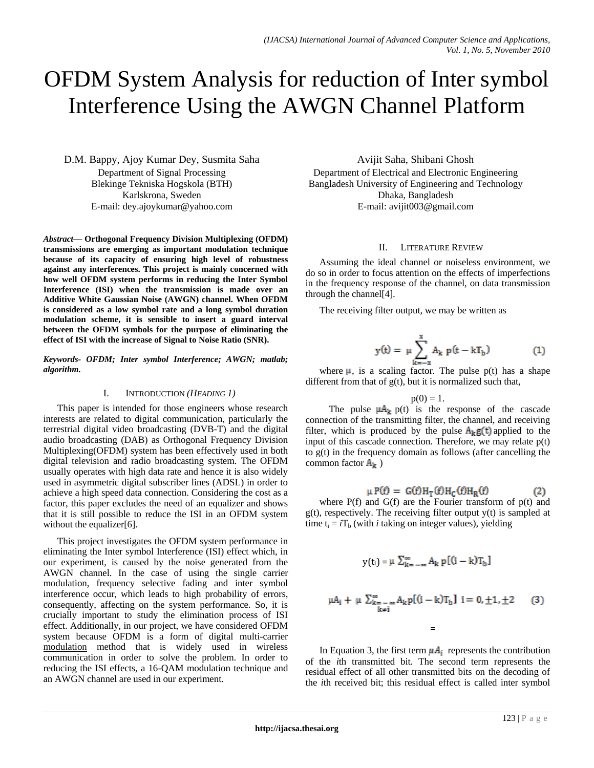# OFDM System Analysis for reduction of Inter symbol Interference Using the AWGN Channel Platform

D.M. Bappy, Ajoy Kumar Dey, Susmita Saha Department of Signal Processing Blekinge Tekniska Hogskola (BTH) Karlskrona, Sweden E-mail: dey.ajoykumar@yahoo.com

*Abstract***— Orthogonal Frequency Division Multiplexing (OFDM) transmissions are emerging as important modulation technique because of its capacity of ensuring high level of robustness against any interferences. This project is mainly concerned with how well OFDM system performs in reducing the Inter Symbol Interference (ISI) when the transmission is made over an Additive White Gaussian Noise (AWGN) channel. When OFDM is considered as a low symbol rate and a long symbol duration modulation scheme, it is sensible to insert a [guard interval](http://en.wikipedia.org/wiki/Guard_interval) between the OFDM symbols for the purpose of eliminating the effect of ISI with the increase of Signal to Noise Ratio (SNR).**

*Keywords- OFDM; Inter symbol Interference; AWGN; matlab; algorithm.*

## I. INTRODUCTION *(HEADING 1)*

This paper is intended for those engineers whose research interests are related to digital communication, particularly the terrestrial digital video broadcasting (DVB-T) and the digital audio broadcasting (DAB) as Orthogonal Frequency Division Multiplexing(OFDM) system has been effectively used in both digital television and radio broadcasting system. The OFDM usually operates with high data rate and hence it is also widely used in asymmetric digital subscriber lines (ADSL) in order to achieve a high speed data connection. Considering the cost as a factor, this paper excludes the need of an equalizer and shows that it is still possible to reduce the ISI in an OFDM system without the equalizer[6].

This project investigates the OFDM system performance in eliminating the Inter symbol Interference (ISI) effect which, in our experiment, is caused by the noise generated from the AWGN channel. In the case of using the single carrier modulation, frequency selective fading and inter symbol interference occur, which leads to high probability of errors, consequently, affecting on the system performance. So, it is crucially important to study the elimination process of ISI effect. Additionally, in our project, we have considered OFDM system because OFDM is a form of digital multi-carrier [modulation](http://en.wikipedia.org/wiki/Modulation) method that is widely used in wireless communication in order to solve the problem. In order to reducing the ISI effects, a 16-QAM modulation technique and an AWGN channel are used in our experiment.

Avijit Saha, Shibani Ghosh Department of Electrical and Electronic Engineering Bangladesh University of Engineering and Technology Dhaka, Bangladesh E-mail: avijit003@gmail.com

# II. LITERATURE REVIEW

Assuming the ideal channel or noiseless environment, we do so in order to focus attention on the effects of imperfections in the frequency response of the channel, on data transmission through the channel[4].

The receiving filter output, we may be written as

$$
y(t) = \mu \sum_{k=-x}^{x} A_k \ p(t - kT_b)
$$
 (1)

where  $\mu$ , is a scaling factor. The pulse p(t) has a shape different from that of  $g(t)$ , but it is normalized such that,

 $p(0) = 1.$ 

The pulse  $\mu A_k$  p(t) is the response of the cascade connection of the transmitting filter, the channel, and receiving filter, which is produced by the pulse  $A_k g(t)$  applied to the input of this cascade connection. Therefore, we may relate p(t) to g(t) in the frequency domain as follows (after cancelling the common factor  $A_k$ )

$$
P(f) = G(f)H_T(f)H_C(f)H_R(f)
$$
 (2)

where P(f) and G(f) are the Fourier transform of p(t) and  $g(t)$ , respectively. The receiving filter output  $y(t)$  is sampled at time  $t_i = iT_b$  (with *i* taking on integer values), yielding

$$
y(t_i) = \mu \sum_{k=-\infty}^{\infty} A_k p [(i-k)T_b]
$$
  

$$
\mu A_i + \mu \sum_{\substack{k=-\infty\\k\neq i}}^{\infty} A_k p [(i-k)T_b] i = 0, \pm 1, \pm 2
$$
 (3)

In Equation 3, the first term  $\mu A_i$  represents the contribution of the *i*th transmitted bit. The second term represents the residual effect of all other transmitted bits on the decoding of the *i*th received bit; this residual effect is called inter symbol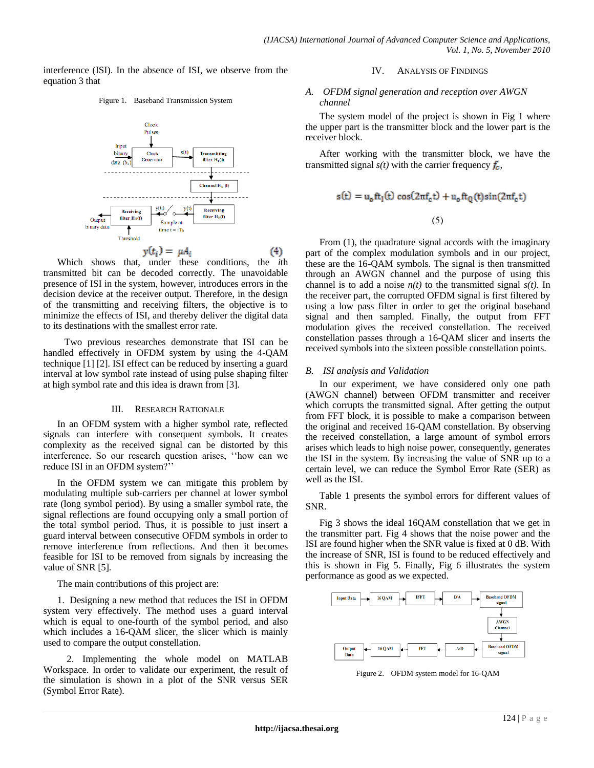interference (ISI). In the absence of ISI, we observe from the equation 3 that





Which shows that, under these conditions, the *i*th transmitted bit can be decoded correctly. The unavoidable presence of ISI in the system, however, introduces errors in the decision device at the receiver output. Therefore, in the design of the transmitting and receiving filters, the objective is to minimize the effects of ISI, and thereby deliver the digital data to its destinations with the smallest error rate.

 Two previous researches demonstrate that ISI can be handled effectively in OFDM system by using the 4-QAM technique [1] [2]. ISI effect can be reduced by inserting a guard interval at low symbol rate instead of using pulse shaping filter at high symbol rate and this idea is drawn from [3].

#### III. RESEARCH RATIONALE

In an OFDM system with a higher symbol rate, reflected signals can interfere with consequent symbols. It creates complexity as the received signal can be distorted by this interference. So our research question arises, ""how can we reduce ISI in an OFDM system?"

In the OFDM system we can mitigate this problem by modulating multiple sub-carriers per channel at lower symbol rate (long symbol period). By using a smaller symbol rate, the signal reflections are found occupying only a small portion of the total symbol period. Thus, it is possible to just insert a guard interval between consecutive OFDM symbols in order to remove interference from reflections. And then it becomes feasible for ISI to be removed from signals by increasing the value of SNR [5].

The main contributions of this project are:

1. Designing a new method that reduces the ISI in OFDM system very effectively. The method uses a guard interval which is equal to one-fourth of the symbol period, and also which includes a 16-OAM slicer, the slicer which is mainly used to compare the output constellation.

 2. Implementing the whole model on MATLAB Workspace. In order to validate our experiment, the result of the simulation is shown in a plot of the SNR versus SER (Symbol Error Rate).

### IV. ANALYSIS OF FINDINGS

## *A. OFDM signal generation and reception over AWGN channel*

The system model of the project is shown in Fig 1 where the upper part is the transmitter block and the lower part is the receiver block.

After working with the transmitter block, we have the transmitted signal  $s(t)$  with the carrier frequency  $f_c$ ,

$$
s(t) = u_0 f t_1(t) \cos(2\pi f_c t) + u_0 f t_Q(t) \sin(2\pi f_c t)
$$

 $(5)$ 

From  $(1)$ , the quadrature signal accords with the imaginary part of the complex modulation symbols and in our project, these are the 16-QAM symbols. The signal is then transmitted through an AWGN channel and the purpose of using this channel is to add a noise  $n(t)$  to the transmitted signal  $s(t)$ . In the receiver part, the corrupted OFDM signal is first filtered by using a low pass filter in order to get the original baseband signal and then sampled. Finally, the output from FFT modulation gives the received constellation. The received constellation passes through a 16-QAM slicer and inserts the received symbols into the sixteen possible constellation points.

## *B. ISI analysis and Validation*

In our experiment, we have considered only one path (AWGN channel) between OFDM transmitter and receiver which corrupts the transmitted signal. After getting the output from FFT block, it is possible to make a comparison between the original and received 16-QAM constellation. By observing the received constellation, a large amount of symbol errors arises which leads to high noise power, consequently, generates the ISI in the system. By increasing the value of SNR up to a certain level, we can reduce the Symbol Error Rate (SER) as well as the ISI.

Table 1 presents the symbol errors for different values of SNR.

Fig 3 shows the ideal 16QAM constellation that we get in the transmitter part. Fig 4 shows that the noise power and the ISI are found higher when the SNR value is fixed at 0 dB. With the increase of SNR, ISI is found to be reduced effectively and this is shown in Fig 5. Finally, Fig 6 illustrates the system performance as good as we expected.



Figure 2. OFDM system model for 16-QAM